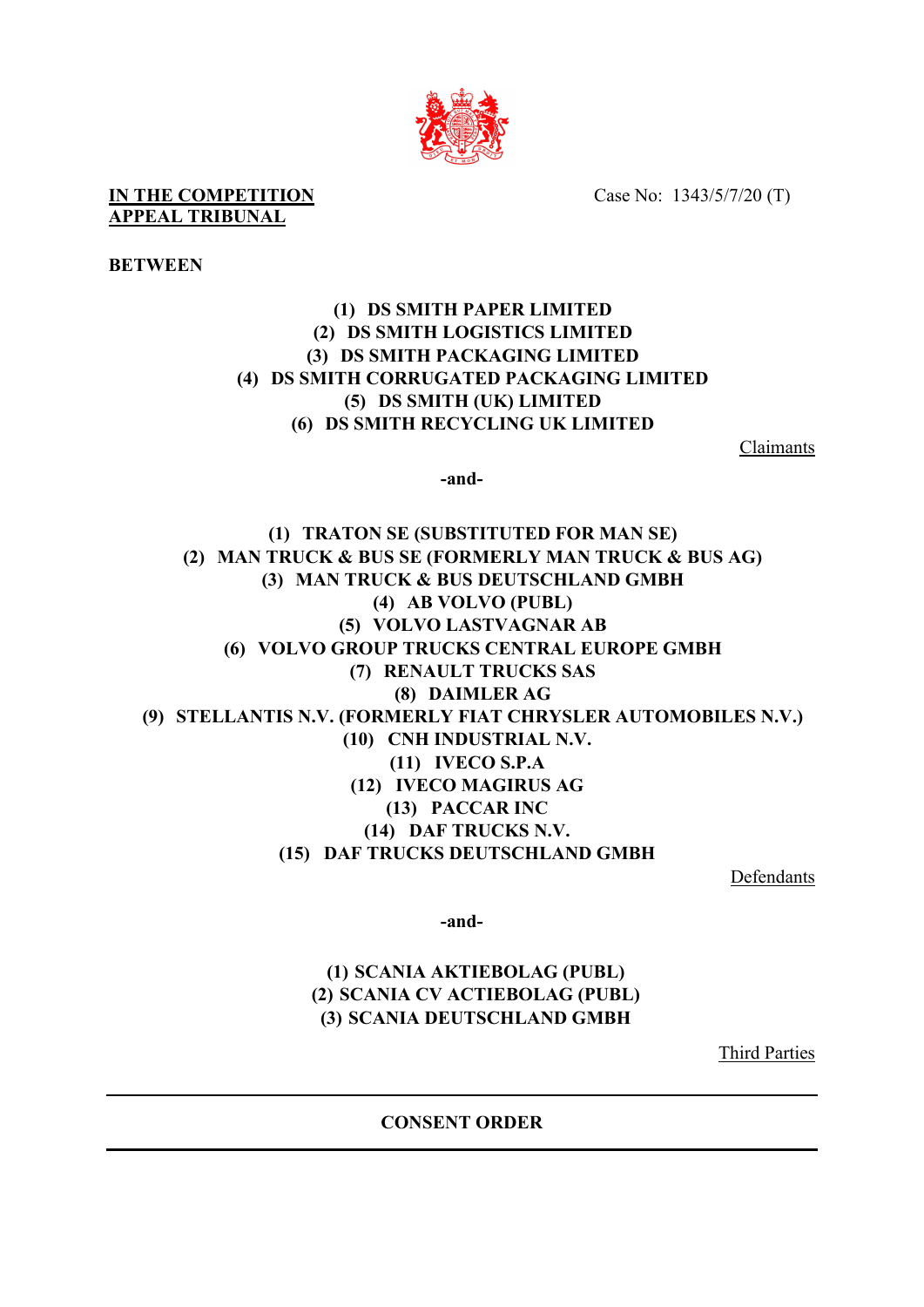

Case No: 1343/5/7/20 (T)

**IN THE COMPETITION APPEAL TRIBUNAL**

## **BETWEEN**

## **(1) DS SMITH PAPER LIMITED (2) DS SMITH LOGISTICS LIMITED (3) DS SMITH PACKAGING LIMITED (4) DS SMITH CORRUGATED PACKAGING LIMITED (5) DS SMITH (UK) LIMITED (6) DS SMITH RECYCLING UK LIMITED**

Claimants

**-and-**

**(1) TRATON SE (SUBSTITUTED FOR MAN SE) (2) MAN TRUCK & BUS SE (FORMERLY MAN TRUCK & BUS AG) (3) MAN TRUCK & BUS DEUTSCHLAND GMBH (4) AB VOLVO (PUBL) (5) VOLVO LASTVAGNAR AB (6) VOLVO GROUP TRUCKS CENTRAL EUROPE GMBH (7) RENAULT TRUCKS SAS (8) DAIMLER AG (9) STELLANTIS N.V. (FORMERLY FIAT CHRYSLER AUTOMOBILES N.V.) (10) CNH INDUSTRIAL N.V. (11) IVECO S.P.A (12) IVECO MAGIRUS AG (13) PACCAR INC (14) DAF TRUCKS N.V. (15) DAF TRUCKS DEUTSCHLAND GMBH**

Defendants

**-and-**

## **(1) SCANIA AKTIEBOLAG (PUBL) (2) SCANIA CV ACTIEBOLAG (PUBL) (3) SCANIA DEUTSCHLAND GMBH**

Third Parties

**CONSENT ORDER**